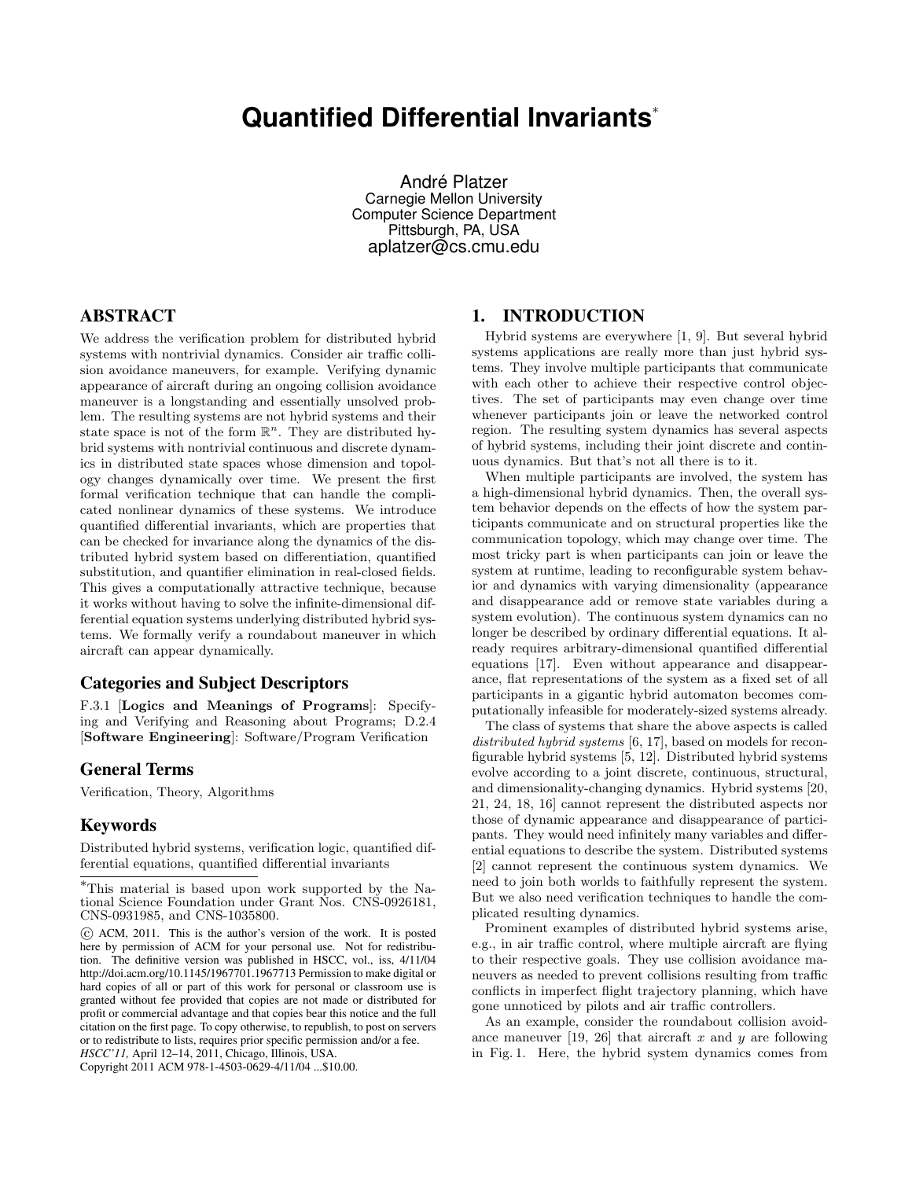# **Quantified Differential Invariants**<sup>∗</sup>

André Platzer Carnegie Mellon University Computer Science Department Pittsburgh, PA, USA aplatzer@cs.cmu.edu

# ABSTRACT

We address the verification problem for distributed hybrid systems with nontrivial dynamics. Consider air traffic collision avoidance maneuvers, for example. Verifying dynamic appearance of aircraft during an ongoing collision avoidance maneuver is a longstanding and essentially unsolved problem. The resulting systems are not hybrid systems and their state space is not of the form  $\mathbb{R}^n$ . They are distributed hybrid systems with nontrivial continuous and discrete dynamics in distributed state spaces whose dimension and topology changes dynamically over time. We present the first formal verification technique that can handle the complicated nonlinear dynamics of these systems. We introduce quantified differential invariants, which are properties that can be checked for invariance along the dynamics of the distributed hybrid system based on differentiation, quantified substitution, and quantifier elimination in real-closed fields. This gives a computationally attractive technique, because it works without having to solve the infinite-dimensional differential equation systems underlying distributed hybrid systems. We formally verify a roundabout maneuver in which aircraft can appear dynamically.

## Categories and Subject Descriptors

F.3.1 [Logics and Meanings of Programs]: Specifying and Verifying and Reasoning about Programs; D.2.4 [Software Engineering]: Software/Program Verification

# General Terms

Verification, Theory, Algorithms

# Keywords

Distributed hybrid systems, verification logic, quantified differential equations, quantified differential invariants

Copyright 2011 ACM 978-1-4503-0629-4/11/04 ...\$10.00.

# 1. INTRODUCTION

Hybrid systems are everywhere [1, 9]. But several hybrid systems applications are really more than just hybrid systems. They involve multiple participants that communicate with each other to achieve their respective control objectives. The set of participants may even change over time whenever participants join or leave the networked control region. The resulting system dynamics has several aspects of hybrid systems, including their joint discrete and continuous dynamics. But that's not all there is to it.

When multiple participants are involved, the system has a high-dimensional hybrid dynamics. Then, the overall system behavior depends on the effects of how the system participants communicate and on structural properties like the communication topology, which may change over time. The most tricky part is when participants can join or leave the system at runtime, leading to reconfigurable system behavior and dynamics with varying dimensionality (appearance and disappearance add or remove state variables during a system evolution). The continuous system dynamics can no longer be described by ordinary differential equations. It already requires arbitrary-dimensional quantified differential equations [17]. Even without appearance and disappearance, flat representations of the system as a fixed set of all participants in a gigantic hybrid automaton becomes computationally infeasible for moderately-sized systems already.

The class of systems that share the above aspects is called distributed hybrid systems [6, 17], based on models for reconfigurable hybrid systems [5, 12]. Distributed hybrid systems evolve according to a joint discrete, continuous, structural, and dimensionality-changing dynamics. Hybrid systems [20, 21, 24, 18, 16] cannot represent the distributed aspects nor those of dynamic appearance and disappearance of participants. They would need infinitely many variables and differential equations to describe the system. Distributed systems [2] cannot represent the continuous system dynamics. We need to join both worlds to faithfully represent the system. But we also need verification techniques to handle the complicated resulting dynamics.

Prominent examples of distributed hybrid systems arise, e.g., in air traffic control, where multiple aircraft are flying to their respective goals. They use collision avoidance maneuvers as needed to prevent collisions resulting from traffic conflicts in imperfect flight trajectory planning, which have gone unnoticed by pilots and air traffic controllers.

As an example, consider the roundabout collision avoidance maneuver [19, 26] that aircraft x and y are following in Fig. 1. Here, the hybrid system dynamics comes from

<sup>∗</sup>This material is based upon work supported by the National Science Foundation under Grant Nos. CNS-0926181, CNS-0931985, and CNS-1035800.

c ACM, 2011. This is the author's version of the work. It is posted here by permission of ACM for your personal use. Not for redistribution. The definitive version was published in HSCC, vol., iss, 4/11/04 http://doi.acm.org/10.1145/1967701.1967713 Permission to make digital or hard copies of all or part of this work for personal or classroom use is granted without fee provided that copies are not made or distributed for profit or commercial advantage and that copies bear this notice and the full citation on the first page. To copy otherwise, to republish, to post on servers or to redistribute to lists, requires prior specific permission and/or a fee.

*HSCC'11,* April 12–14, 2011, Chicago, Illinois, USA.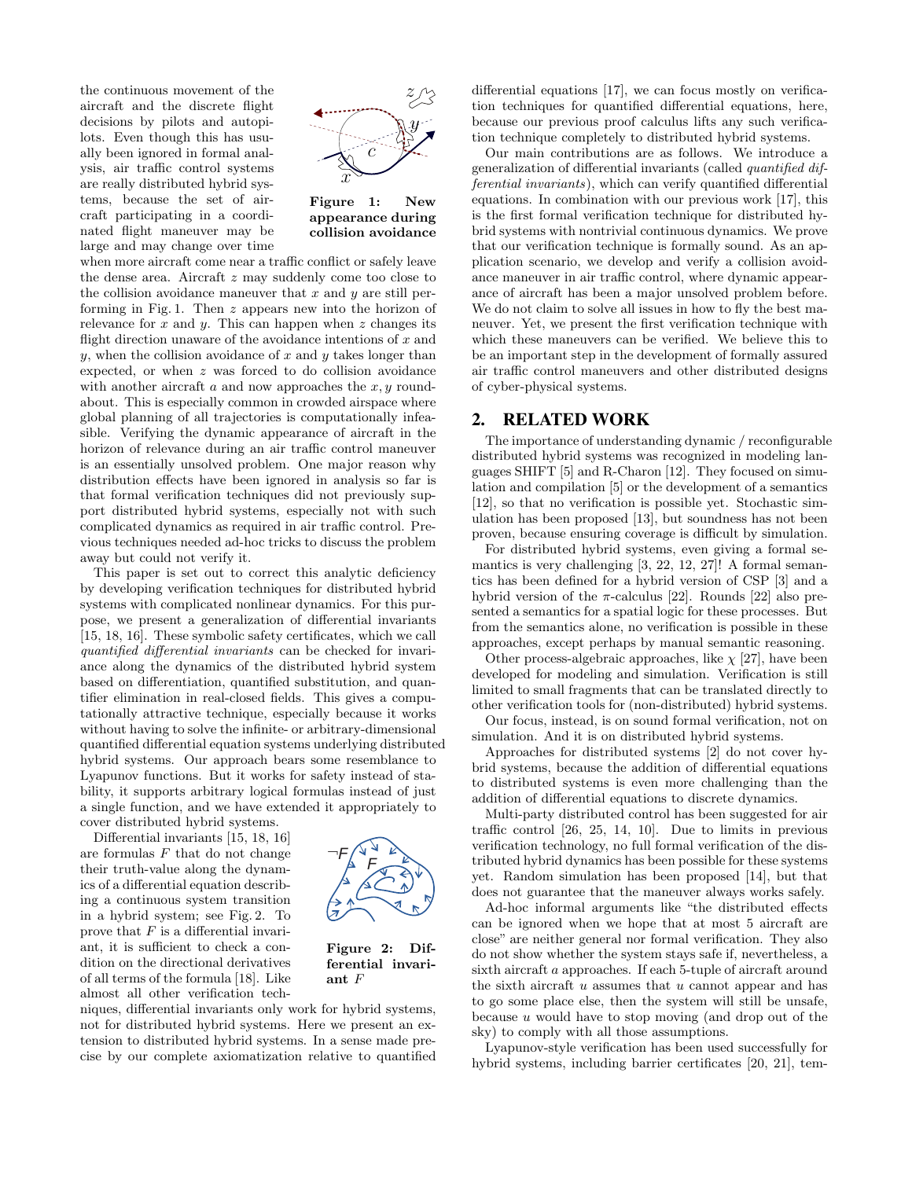the continuous movement of the aircraft and the discrete flight decisions by pilots and autopilots. Even though this has usually been ignored in formal analysis, air traffic control systems are really distributed hybrid systems, because the set of aircraft participating in a coordinated flight maneuver may be large and may change over time



Figure 1: New appearance during collision avoidance

when more aircraft come near a traffic conflict or safely leave the dense area. Aircraft z may suddenly come too close to the collision avoidance maneuver that  $x$  and  $y$  are still performing in Fig. 1. Then z appears new into the horizon of relevance for  $x$  and  $y$ . This can happen when  $z$  changes its flight direction unaware of the avoidance intentions of  $x$  and y, when the collision avoidance of x and y takes longer than expected, or when z was forced to do collision avoidance with another aircraft  $a$  and now approaches the  $x, y$  roundabout. This is especially common in crowded airspace where global planning of all trajectories is computationally infeasible. Verifying the dynamic appearance of aircraft in the horizon of relevance during an air traffic control maneuver is an essentially unsolved problem. One major reason why distribution effects have been ignored in analysis so far is that formal verification techniques did not previously support distributed hybrid systems, especially not with such complicated dynamics as required in air traffic control. Previous techniques needed ad-hoc tricks to discuss the problem away but could not verify it.

This paper is set out to correct this analytic deficiency by developing verification techniques for distributed hybrid systems with complicated nonlinear dynamics. For this purpose, we present a generalization of differential invariants [15, 18, 16]. These symbolic safety certificates, which we call quantified differential invariants can be checked for invariance along the dynamics of the distributed hybrid system based on differentiation, quantified substitution, and quantifier elimination in real-closed fields. This gives a computationally attractive technique, especially because it works without having to solve the infinite- or arbitrary-dimensional quantified differential equation systems underlying distributed hybrid systems. Our approach bears some resemblance to Lyapunov functions. But it works for safety instead of stability, it supports arbitrary logical formulas instead of just a single function, and we have extended it appropriately to cover distributed hybrid systems.

Differential invariants [15, 18, 16] are formulas  $F$  that do not change their truth-value along the dynamics of a differential equation describing a continuous system transition in a hybrid system; see Fig. 2. To prove that  $F$  is a differential invariant, it is sufficient to check a condition on the directional derivatives of all terms of the formula [18]. Like almost all other verification tech-



Figure 2: Differential invariant F

niques, differential invariants only work for hybrid systems, not for distributed hybrid systems. Here we present an extension to distributed hybrid systems. In a sense made precise by our complete axiomatization relative to quantified differential equations [17], we can focus mostly on verification techniques for quantified differential equations, here, because our previous proof calculus lifts any such verification technique completely to distributed hybrid systems.

Our main contributions are as follows. We introduce a generalization of differential invariants (called quantified differential invariants), which can verify quantified differential equations. In combination with our previous work [17], this is the first formal verification technique for distributed hybrid systems with nontrivial continuous dynamics. We prove that our verification technique is formally sound. As an application scenario, we develop and verify a collision avoidance maneuver in air traffic control, where dynamic appearance of aircraft has been a major unsolved problem before. We do not claim to solve all issues in how to fly the best maneuver. Yet, we present the first verification technique with which these maneuvers can be verified. We believe this to be an important step in the development of formally assured air traffic control maneuvers and other distributed designs of cyber-physical systems.

# 2. RELATED WORK

The importance of understanding dynamic / reconfigurable distributed hybrid systems was recognized in modeling languages SHIFT [5] and R-Charon [12]. They focused on simulation and compilation [5] or the development of a semantics [12], so that no verification is possible yet. Stochastic simulation has been proposed [13], but soundness has not been proven, because ensuring coverage is difficult by simulation.

For distributed hybrid systems, even giving a formal semantics is very challenging [3, 22, 12, 27]! A formal semantics has been defined for a hybrid version of CSP [3] and a hybrid version of the  $\pi$ -calculus [22]. Rounds [22] also presented a semantics for a spatial logic for these processes. But from the semantics alone, no verification is possible in these approaches, except perhaps by manual semantic reasoning.

Other process-algebraic approaches, like  $\chi$  [27], have been developed for modeling and simulation. Verification is still limited to small fragments that can be translated directly to other verification tools for (non-distributed) hybrid systems.

Our focus, instead, is on sound formal verification, not on simulation. And it is on distributed hybrid systems.

Approaches for distributed systems [2] do not cover hybrid systems, because the addition of differential equations to distributed systems is even more challenging than the addition of differential equations to discrete dynamics.

Multi-party distributed control has been suggested for air traffic control [26, 25, 14, 10]. Due to limits in previous verification technology, no full formal verification of the distributed hybrid dynamics has been possible for these systems yet. Random simulation has been proposed [14], but that does not guarantee that the maneuver always works safely.

Ad-hoc informal arguments like "the distributed effects can be ignored when we hope that at most 5 aircraft are close" are neither general nor formal verification. They also do not show whether the system stays safe if, nevertheless, a sixth aircraft a approaches. If each 5-tuple of aircraft around the sixth aircraft  $u$  assumes that  $u$  cannot appear and has to go some place else, then the system will still be unsafe, because  $u$  would have to stop moving (and drop out of the sky) to comply with all those assumptions.

Lyapunov-style verification has been used successfully for hybrid systems, including barrier certificates [20, 21], tem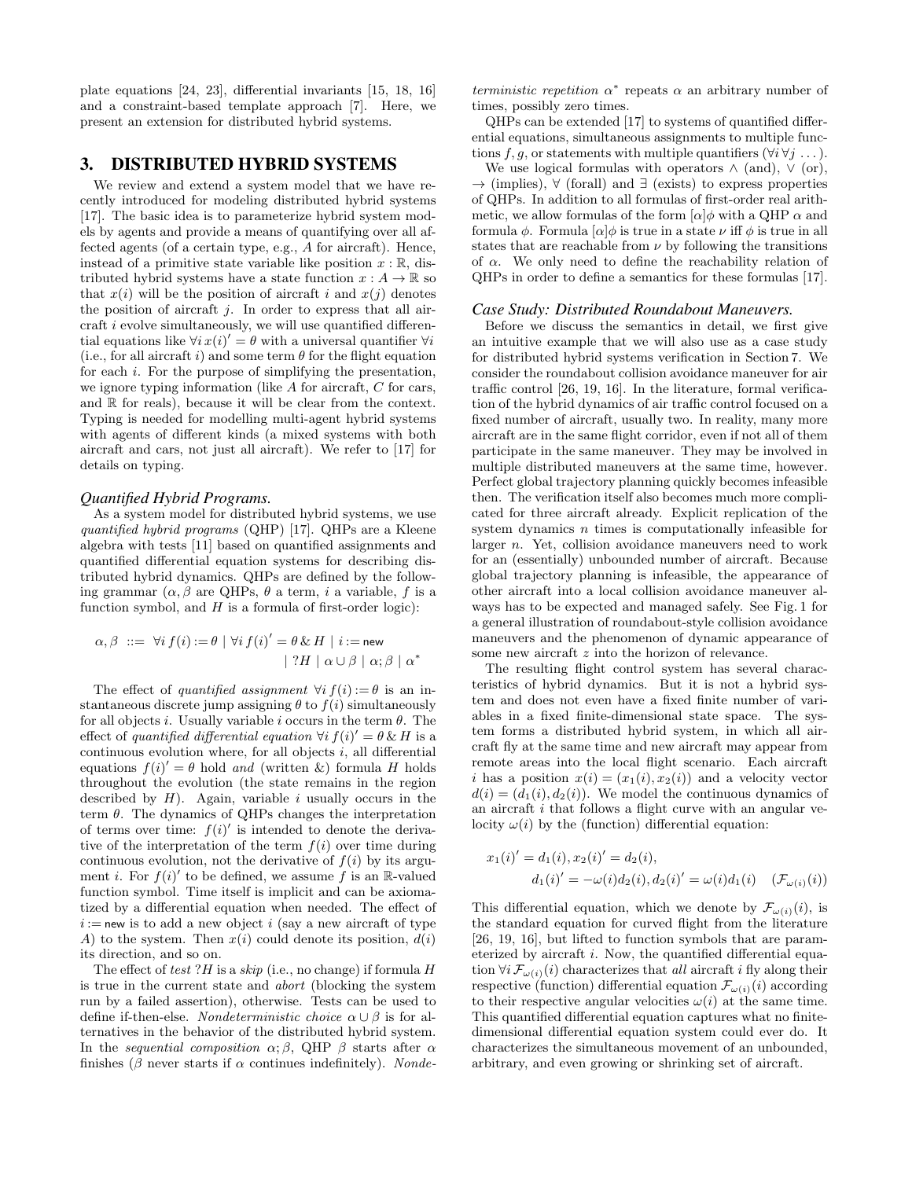plate equations [24, 23], differential invariants [15, 18, 16] and a constraint-based template approach [7]. Here, we present an extension for distributed hybrid systems.

# 3. DISTRIBUTED HYBRID SYSTEMS

We review and extend a system model that we have recently introduced for modeling distributed hybrid systems [17]. The basic idea is to parameterize hybrid system models by agents and provide a means of quantifying over all affected agents (of a certain type, e.g., A for aircraft). Hence, instead of a primitive state variable like position  $x : \mathbb{R}$ , distributed hybrid systems have a state function  $x : A \to \mathbb{R}$  so that  $x(i)$  will be the position of aircraft i and  $x(j)$  denotes the position of aircraft  $j$ . In order to express that all aircraft i evolve simultaneously, we will use quantified differential equations like  $\forall i x(i)' = \theta$  with a universal quantifier  $\forall i$ (i.e., for all aircraft i) and some term  $\theta$  for the flight equation for each i. For the purpose of simplifying the presentation, we ignore typing information (like A for aircraft, C for cars, and  $\mathbb R$  for reals), because it will be clear from the context. Typing is needed for modelling multi-agent hybrid systems with agents of different kinds (a mixed systems with both aircraft and cars, not just all aircraft). We refer to [17] for details on typing.

# *Quantified Hybrid Programs.*

As a system model for distributed hybrid systems, we use quantified hybrid programs (QHP) [17]. QHPs are a Kleene algebra with tests [11] based on quantified assignments and quantified differential equation systems for describing distributed hybrid dynamics. QHPs are defined by the following grammar  $(\alpha, \beta \text{ are QHPs}, \theta \text{ a term}, i \text{ a variable}, f \text{ is a})$ function symbol, and  $H$  is a formula of first-order logic):

$$
\alpha, \beta \ ::= \ \forall i \ f(i) := \theta \mid \forall i \ f(i)' = \theta \ \& \ H \mid i := \text{new}
$$
\n
$$
\mid \ ?H \mid \alpha \cup \beta \mid \alpha; \beta \mid \alpha^*
$$

The effect of quantified assignment  $\forall i f(i) := \theta$  is an instantaneous discrete jump assigning  $\theta$  to  $f(i)$  simultaneously for all objects *i*. Usually variable *i* occurs in the term  $\theta$ . The effect of quantified differential equation  $\forall i f(i)' = \theta \& H$  is a continuous evolution where, for all objects  $i$ , all differential equations  $f(i)' = \theta$  hold and (written &) formula H holds throughout the evolution (the state remains in the region described by  $H$ ). Again, variable i usually occurs in the term  $\theta$ . The dynamics of QHPs changes the interpretation of terms over time:  $f(i)$  is intended to denote the derivative of the interpretation of the term  $f(i)$  over time during continuous evolution, not the derivative of  $f(i)$  by its argument *i*. For  $f(i)'$  to be defined, we assume f is an R-valued function symbol. Time itself is implicit and can be axiomatized by a differential equation when needed. The effect of  $i := new$  is to add a new object i (say a new aircraft of type A) to the system. Then  $x(i)$  could denote its position,  $d(i)$ its direction, and so on.

The effect of test ?H is a skip (i.e., no change) if formula  $H$ is true in the current state and abort (blocking the system run by a failed assertion), otherwise. Tests can be used to define if-then-else. Nondeterministic choice  $\alpha \cup \beta$  is for alternatives in the behavior of the distributed hybrid system. In the sequential composition  $\alpha$ ;  $\beta$ , QHP  $\beta$  starts after  $\alpha$ finishes ( $\beta$  never starts if  $\alpha$  continues indefinitely). Nonde-

terministic repetition  $\alpha^*$  repeats  $\alpha$  an arbitrary number of times, possibly zero times.

QHPs can be extended [17] to systems of quantified differential equations, simultaneous assignments to multiple functions f, q, or statements with multiple quantifiers  $(\forall i \forall j \dots)$ .

We use logical formulas with operators  $\wedge$  (and),  $\vee$  (or),  $\rightarrow$  (implies),  $\forall$  (forall) and  $\exists$  (exists) to express properties of QHPs. In addition to all formulas of first-order real arithmetic, we allow formulas of the form  $\alpha \phi$  with a QHP  $\alpha$  and formula  $\phi$ . Formula  $\alpha | \phi$  is true in a state  $\nu$  iff  $\phi$  is true in all states that are reachable from  $\nu$  by following the transitions of  $\alpha$ . We only need to define the reachability relation of QHPs in order to define a semantics for these formulas [17].

#### *Case Study: Distributed Roundabout Maneuvers.*

Before we discuss the semantics in detail, we first give an intuitive example that we will also use as a case study for distributed hybrid systems verification in Section 7. We consider the roundabout collision avoidance maneuver for air traffic control [26, 19, 16]. In the literature, formal verification of the hybrid dynamics of air traffic control focused on a fixed number of aircraft, usually two. In reality, many more aircraft are in the same flight corridor, even if not all of them participate in the same maneuver. They may be involved in multiple distributed maneuvers at the same time, however. Perfect global trajectory planning quickly becomes infeasible then. The verification itself also becomes much more complicated for three aircraft already. Explicit replication of the system dynamics *n* times is computationally infeasible for larger n. Yet, collision avoidance maneuvers need to work for an (essentially) unbounded number of aircraft. Because global trajectory planning is infeasible, the appearance of other aircraft into a local collision avoidance maneuver always has to be expected and managed safely. See Fig. 1 for a general illustration of roundabout-style collision avoidance maneuvers and the phenomenon of dynamic appearance of some new aircraft z into the horizon of relevance.

The resulting flight control system has several characteristics of hybrid dynamics. But it is not a hybrid system and does not even have a fixed finite number of variables in a fixed finite-dimensional state space. The system forms a distributed hybrid system, in which all aircraft fly at the same time and new aircraft may appear from remote areas into the local flight scenario. Each aircraft i has a position  $x(i) = (x_1(i), x_2(i))$  and a velocity vector  $d(i) = (d_1(i), d_2(i))$ . We model the continuous dynamics of an aircraft i that follows a flight curve with an angular velocity  $\omega(i)$  by the (function) differential equation:

$$
x_1(i)' = d_1(i), x_2(i)' = d_2(i),
$$
  
\n
$$
d_1(i)' = -\omega(i)d_2(i), d_2(i)' = \omega(i)d_1(i) \quad (\mathcal{F}_{\omega(i)}(i))
$$

This differential equation, which we denote by  $\mathcal{F}_{\omega(i)}(i)$ , is the standard equation for curved flight from the literature [26, 19, 16], but lifted to function symbols that are parameterized by aircraft i. Now, the quantified differential equation  $\forall i \mathcal{F}_{\omega(i)}(i)$  characterizes that all aircraft i fly along their respective (function) differential equation  $\mathcal{F}_{\omega(i)}(i)$  according to their respective angular velocities  $\omega(i)$  at the same time. This quantified differential equation captures what no finitedimensional differential equation system could ever do. It characterizes the simultaneous movement of an unbounded, arbitrary, and even growing or shrinking set of aircraft.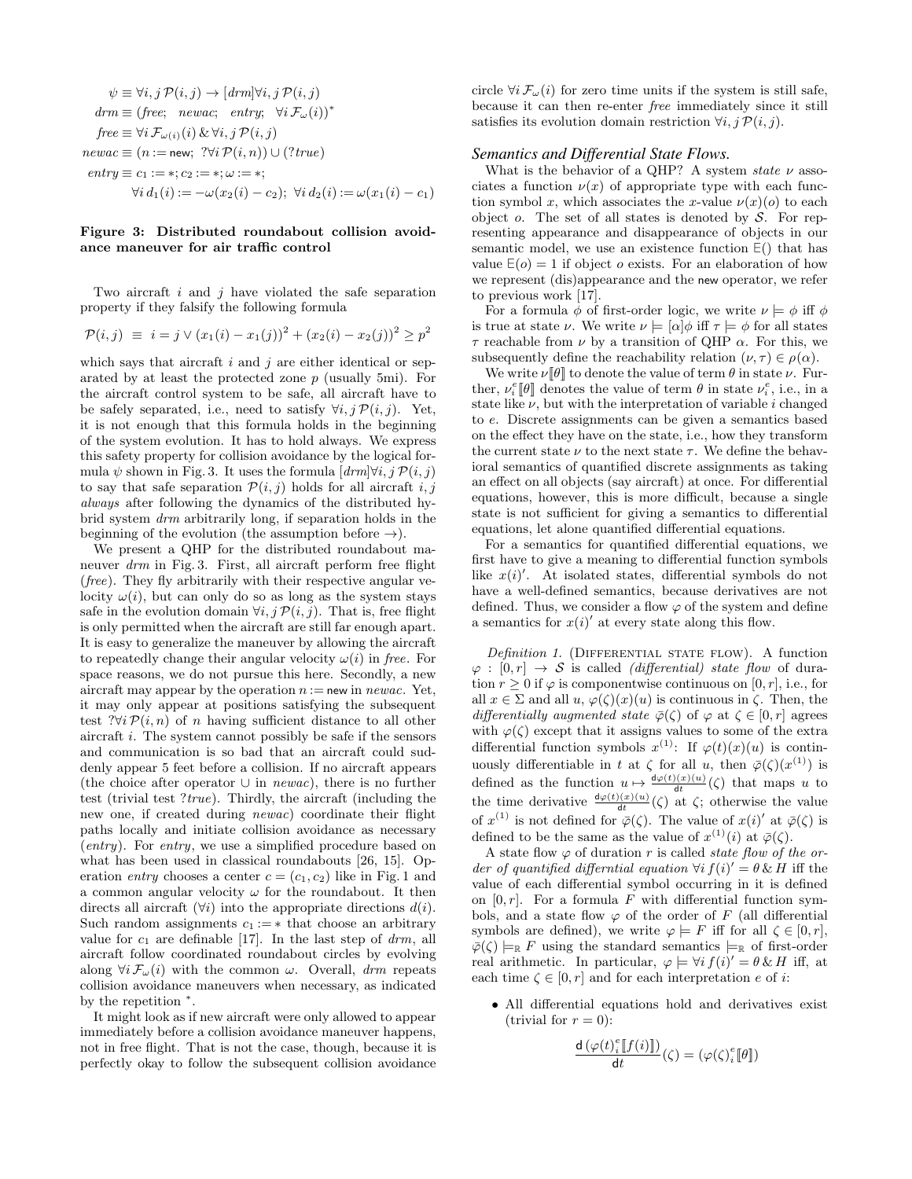$$
\psi \equiv \forall i, j \mathcal{P}(i, j) \rightarrow [drm] \forall i, j \mathcal{P}(i, j)
$$
\n
$$
drm \equiv (free; \quad newac; \quad entry; \quad \forall i \mathcal{F}_{\omega}(i))^*
$$
\n
$$
free \equiv \forall i \mathcal{F}_{\omega(i)}(i) \& \forall i, j \mathcal{P}(i, j)
$$
\n
$$
newac \equiv (n := new; \quad ?\forall i \mathcal{P}(i, n)) \cup (?true)
$$
\n
$$
entry \equiv c_1 := *; c_2 := *; \omega := *;
$$
\n
$$
\forall i \, d_1(i) := -\omega(x_2(i) - c_2); \quad \forall i \, d_2(i) := \omega(x_1(i) - c_1)
$$

#### Figure 3: Distributed roundabout collision avoidance maneuver for air traffic control

Two aircraft  $i$  and  $j$  have violated the safe separation property if they falsify the following formula

$$
\mathcal{P}(i,j) \equiv i = j \vee (x_1(i) - x_1(j))^2 + (x_2(i) - x_2(j))^2 \ge p^2
$$

which says that aircraft  $i$  and  $j$  are either identical or separated by at least the protected zone  $p$  (usually 5mi). For the aircraft control system to be safe, all aircraft have to be safely separated, i.e., need to satisfy  $\forall i, j \mathcal{P}(i, j)$ . Yet, it is not enough that this formula holds in the beginning of the system evolution. It has to hold always. We express this safety property for collision avoidance by the logical formula  $\psi$  shown in Fig. 3. It uses the formula  $\left[ d\right] \forall i, j \mathcal{P}(i, j)$ to say that safe separation  $\mathcal{P}(i, j)$  holds for all aircraft i, j always after following the dynamics of the distributed hybrid system drm arbitrarily long, if separation holds in the beginning of the evolution (the assumption before  $\rightarrow$ ).

We present a QHP for the distributed roundabout maneuver drm in Fig. 3. First, all aircraft perform free flight (free). They fly arbitrarily with their respective angular velocity  $\omega(i)$ , but can only do so as long as the system stays safe in the evolution domain  $\forall i, j \mathcal{P}(i, j)$ . That is, free flight is only permitted when the aircraft are still far enough apart. It is easy to generalize the maneuver by allowing the aircraft to repeatedly change their angular velocity  $\omega(i)$  in free. For space reasons, we do not pursue this here. Secondly, a new aircraft may appear by the operation  $n := new$  in newac. Yet, it may only appear at positions satisfying the subsequent test ?∀i  $\mathcal{P}(i,n)$  of n having sufficient distance to all other aircraft  $i$ . The system cannot possibly be safe if the sensors and communication is so bad that an aircraft could suddenly appear 5 feet before a collision. If no aircraft appears (the choice after operator  $\cup$  in *newac*), there is no further test (trivial test  $?true$ ). Thirdly, the aircraft (including the new one, if created during newac) coordinate their flight paths locally and initiate collision avoidance as necessary (entry). For entry, we use a simplified procedure based on what has been used in classical roundabouts [26, 15]. Operation entry chooses a center  $c = (c_1, c_2)$  like in Fig. 1 and a common angular velocity  $\omega$  for the roundabout. It then directs all aircraft  $(\forall i)$  into the appropriate directions  $d(i)$ . Such random assignments  $c_1 := *$  that choose an arbitrary value for  $c_1$  are definable [17]. In the last step of  $drm$ , all aircraft follow coordinated roundabout circles by evolving along  $\forall i \mathcal{F}_{\omega}(i)$  with the common  $\omega$ . Overall, drm repeats collision avoidance maneuvers when necessary, as indicated by the repetition <sup>∗</sup> .

It might look as if new aircraft were only allowed to appear immediately before a collision avoidance maneuver happens, not in free flight. That is not the case, though, because it is perfectly okay to follow the subsequent collision avoidance

circle  $\forall i \mathcal{F}_{\omega}(i)$  for zero time units if the system is still safe, because it can then re-enter free immediately since it still satisfies its evolution domain restriction  $\forall i, j \mathcal{P}(i, j)$ .

## *Semantics and Differential State Flows.*

What is the behavior of a QHP? A system state  $\nu$  associates a function  $\nu(x)$  of appropriate type with each function symbol x, which associates the x-value  $\nu(x)(o)$  to each object o. The set of all states is denoted by  $S$ . For representing appearance and disappearance of objects in our semantic model, we use an existence function <sup>∃</sup> () that has value  $E(o) = 1$  if object o exists. For an elaboration of how we represent (dis)appearance and the new operator, we refer to previous work [17].

For a formula  $\phi$  of first-order logic, we write  $\nu \models \phi$  iff  $\phi$ is true at state  $\nu$ . We write  $\nu \models [\alpha]\phi$  iff  $\tau \models \phi$  for all states  $\tau$  reachable from  $\nu$  by a transition of QHP  $\alpha$ . For this, we subsequently define the reachability relation  $(\nu, \tau) \in \rho(\alpha)$ .

We write  $\nu[\![\theta]\!]$  to denote the value of term  $\theta$  in state  $\nu$ . Further,  $\nu_i^e[\![\theta]\!]$  denotes the value of term  $\theta$  in state  $\nu_i^e$ , i.e., in a state like  $\nu$ , but with the interpretation of variable i changed to e. Discrete assignments can be given a semantics based on the effect they have on the state, i.e., how they transform the current state  $\nu$  to the next state  $\tau$ . We define the behavioral semantics of quantified discrete assignments as taking an effect on all objects (say aircraft) at once. For differential equations, however, this is more difficult, because a single state is not sufficient for giving a semantics to differential equations, let alone quantified differential equations.

For a semantics for quantified differential equations, we first have to give a meaning to differential function symbols like  $x(i)'$ . At isolated states, differential symbols do not have a well-defined semantics, because derivatives are not defined. Thus, we consider a flow  $\varphi$  of the system and define a semantics for  $x(i)$  at every state along this flow.

Definition 1. (DIFFERENTIAL STATE FLOW). A function  $\varphi : [0, r] \rightarrow S$  is called *(differential)* state flow of duration  $r > 0$  if  $\varphi$  is componentwise continuous on [0, r], i.e., for all  $x \in \Sigma$  and all  $u, \varphi(\zeta)(x)(u)$  is continuous in  $\zeta$ . Then, the differentially augmented state  $\bar{\varphi}(\zeta)$  of  $\varphi$  at  $\zeta \in [0, r]$  agrees with  $\varphi(\zeta)$  except that it assigns values to some of the extra differential function symbols  $x^{(1)}$ : If  $\varphi(t)(x)(u)$  is continuously differentiable in t at  $\zeta$  for all u, then  $\bar{\varphi}(\zeta)(x^{(1)})$  is defined as the function  $u \mapsto \frac{d\varphi(t)(x)(u)}{dt}(\zeta)$  that maps u to the time derivative  $\frac{d\varphi(t)(x)(u)}{dt}(\zeta)$  at  $\zeta$ ; otherwise the value of  $x^{(1)}$  is not defined for  $\bar{\varphi}(\zeta)$ . The value of  $x(i)'$  at  $\bar{\varphi}(\zeta)$  is defined to be the same as the value of  $x^{(1)}(i)$  at  $\bar{\varphi}(\zeta)$ .

A state flow  $\varphi$  of duration r is called *state flow of the or*der of quantified differntial equation  $\forall i$   $f(i)' = \theta \& H$  iff the value of each differential symbol occurring in it is defined on  $[0, r]$ . For a formula F with differential function symbols, and a state flow  $\varphi$  of the order of F (all differential symbols are defined), we write  $\varphi \models F$  iff for all  $\zeta \in [0, r]$ ,  $\overline{\varphi}(\zeta) \models_{\mathbb{R}} F$  using the standard semantics  $\models_{\mathbb{R}}$  of first-order real arithmetic. In particular,  $\varphi \models \forall i f(i)' = \theta \& H$  iff, at each time  $\zeta \in [0, r]$  and for each interpretation e of i:

• All differential equations hold and derivatives exist (trivial for  $r = 0$ ):

$$
\frac{\mathrm{d}\left(\varphi(t)_i^e[\![f(i)]\!]\right)}{\mathrm{d} t}(\zeta)=(\varphi(\zeta)_i^e[\![\theta]\!])
$$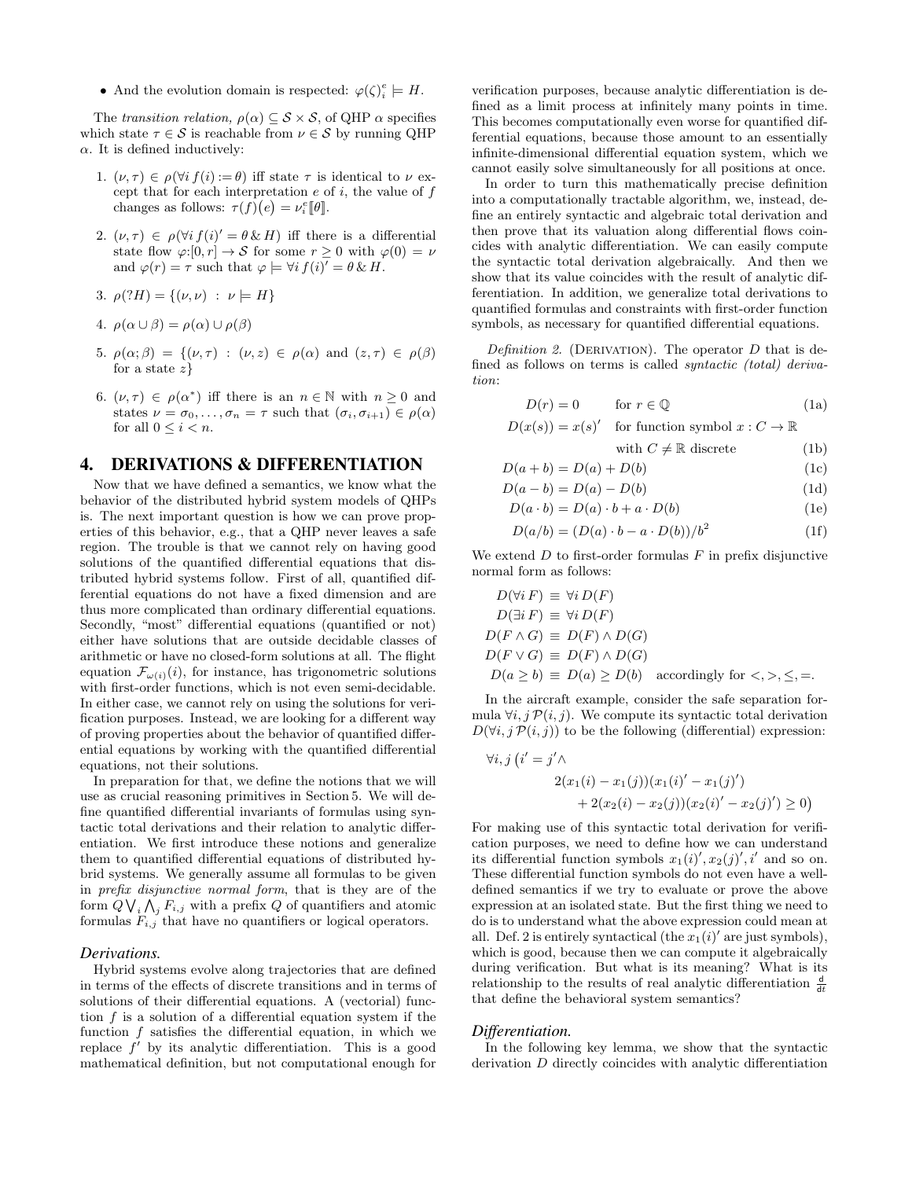• And the evolution domain is respected:  $\varphi(\zeta)_{i}^{e} \models H$ .

The transition relation,  $\rho(\alpha) \subseteq S \times S$ , of QHP  $\alpha$  specifies which state  $\tau \in \mathcal{S}$  is reachable from  $\nu \in \mathcal{S}$  by running QHP  $\alpha$ . It is defined inductively:

- 1.  $(\nu, \tau) \in \rho(\forall i \ f(i) := \theta)$  iff state  $\tau$  is identical to  $\nu$  except that for each interpretation  $e$  of  $i$ , the value of  $f$ changes as follows:  $\tau(f)(e) = \nu_i^e [\![\theta]\!]$ .
- 2.  $(\nu, \tau) \in \rho(\forall i \, f(i)' = \theta \, \& \, H)$  iff there is a differential state flow  $\varphi:[0,r] \to \mathcal{S}$  for some  $r \geq 0$  with  $\varphi(0) = \nu$ and  $\varphi(r) = \tau$  such that  $\varphi \models \forall i f(i)' = \theta \& H$ .
- 3.  $\rho$ (?H) = {( $\nu$ ,  $\nu$ ) :  $\nu$  = H}
- 4.  $\rho(\alpha \cup \beta) = \rho(\alpha) \cup \rho(\beta)$
- 5.  $\rho(\alpha;\beta) = \{(\nu,\tau) : (\nu,z) \in \rho(\alpha) \text{ and } (z,\tau) \in \rho(\beta) \}$ for a state  $z$
- 6.  $(\nu, \tau) \in \rho(\alpha^*)$  iff there is an  $n \in \mathbb{N}$  with  $n \geq 0$  and states  $\nu = \sigma_0, \ldots, \sigma_n = \tau$  such that  $(\sigma_i, \sigma_{i+1}) \in \rho(\alpha)$ for all  $0 \leq i \leq n$ .

# 4. DERIVATIONS & DIFFERENTIATION

Now that we have defined a semantics, we know what the behavior of the distributed hybrid system models of QHPs is. The next important question is how we can prove properties of this behavior, e.g., that a QHP never leaves a safe region. The trouble is that we cannot rely on having good solutions of the quantified differential equations that distributed hybrid systems follow. First of all, quantified differential equations do not have a fixed dimension and are thus more complicated than ordinary differential equations. Secondly, "most" differential equations (quantified or not) either have solutions that are outside decidable classes of arithmetic or have no closed-form solutions at all. The flight equation  $\mathcal{F}_{\omega(i)}(i)$ , for instance, has trigonometric solutions with first-order functions, which is not even semi-decidable. In either case, we cannot rely on using the solutions for verification purposes. Instead, we are looking for a different way of proving properties about the behavior of quantified differential equations by working with the quantified differential equations, not their solutions.

In preparation for that, we define the notions that we will use as crucial reasoning primitives in Section 5. We will define quantified differential invariants of formulas using syntactic total derivations and their relation to analytic differentiation. We first introduce these notions and generalize them to quantified differential equations of distributed hybrid systems. We generally assume all formulas to be given in prefix disjunctive normal form, that is they are of the form  $Q \bigvee_i \bigwedge_j F_{i,j}$  with a prefix  $Q$  of quantifiers and atomic formulas  $F_{i,j}$  that have no quantifiers or logical operators.

#### *Derivations.*

Hybrid systems evolve along trajectories that are defined in terms of the effects of discrete transitions and in terms of solutions of their differential equations. A (vectorial) function  $f$  is a solution of a differential equation system if the function  $f$  satisfies the differential equation, in which we replace  $f'$  by its analytic differentiation. This is a good mathematical definition, but not computational enough for

verification purposes, because analytic differentiation is defined as a limit process at infinitely many points in time. This becomes computationally even worse for quantified differential equations, because those amount to an essentially infinite-dimensional differential equation system, which we cannot easily solve simultaneously for all positions at once.

In order to turn this mathematically precise definition into a computationally tractable algorithm, we, instead, define an entirely syntactic and algebraic total derivation and then prove that its valuation along differential flows coincides with analytic differentiation. We can easily compute the syntactic total derivation algebraically. And then we show that its value coincides with the result of analytic differentiation. In addition, we generalize total derivations to quantified formulas and constraints with first-order function symbols, as necessary for quantified differential equations.

Definition 2. (DERIVATION). The operator  $D$  that is defined as follows on terms is called syntactic (total) derivation:

$$
D(r) = 0 \qquad \text{for } r \in \mathbb{Q} \tag{1a}
$$

 $D(x(s)) = x(s)'$  for function symbol  $x : C \to \mathbb{R}$ 

with 
$$
C \neq \mathbb{R}
$$
 discrete (1b)

$$
D(a+b) = D(a) + D(b)
$$
 (1c)

$$
D(a - b) = D(a) - D(b)
$$
(1d)  

$$
D(a, b) = D(a), b + a, D(b)
$$
(1e)

$$
D(a \cdot b) = D(a) \cdot b + a \cdot D(b)
$$
\n
$$
D(a \cdot b) = (D(a) \cdot b) \cdot (D(b)) \cdot (b^2)
$$
\n
$$
(14)
$$

$$
D(a/b) = (D(a) \cdot b - a \cdot D(b))/b2
$$
 (1f)

We extend  $D$  to first-order formulas  $F$  in prefix disjunctive normal form as follows:

$$
D(\forall i F) \equiv \forall i D(F)
$$
  
\n
$$
D(\exists i F) \equiv \forall i D(F)
$$
  
\n
$$
D(F \land G) \equiv D(F) \land D(G)
$$
  
\n
$$
D(F \lor G) \equiv D(F) \land D(G)
$$
  
\n
$$
D(a \ge b) \equiv D(a) \ge D(b) \text{ accordingly for } <, >, \le, =.
$$

In the aircraft example, consider the safe separation formula  $\forall i, j \mathcal{P}(i, j)$ . We compute its syntactic total derivation  $D(\forall i, j \mathcal{P}(i, j))$  to be the following (differential) expression:

$$
\forall i, j \left( i' = j' \land 2(x_1(i) - x_1(j))(x_1(i)' - x_1(j)') + 2(x_2(i) - x_2(j))(x_2(i)' - x_2(j)') \ge 0\right)
$$

For making use of this syntactic total derivation for verification purposes, we need to define how we can understand its differential function symbols  $x_1(i)$ ',  $x_2(j)$ ', i' and so on. These differential function symbols do not even have a welldefined semantics if we try to evaluate or prove the above expression at an isolated state. But the first thing we need to do is to understand what the above expression could mean at all. Def. 2 is entirely syntactical (the  $x_1(i)'$  are just symbols), which is good, because then we can compute it algebraically during verification. But what is its meaning? What is its relationship to the results of real analytic differentiation  $\frac{d}{dt}$ that define the behavioral system semantics?

#### *Differentiation.*

In the following key lemma, we show that the syntactic derivation D directly coincides with analytic differentiation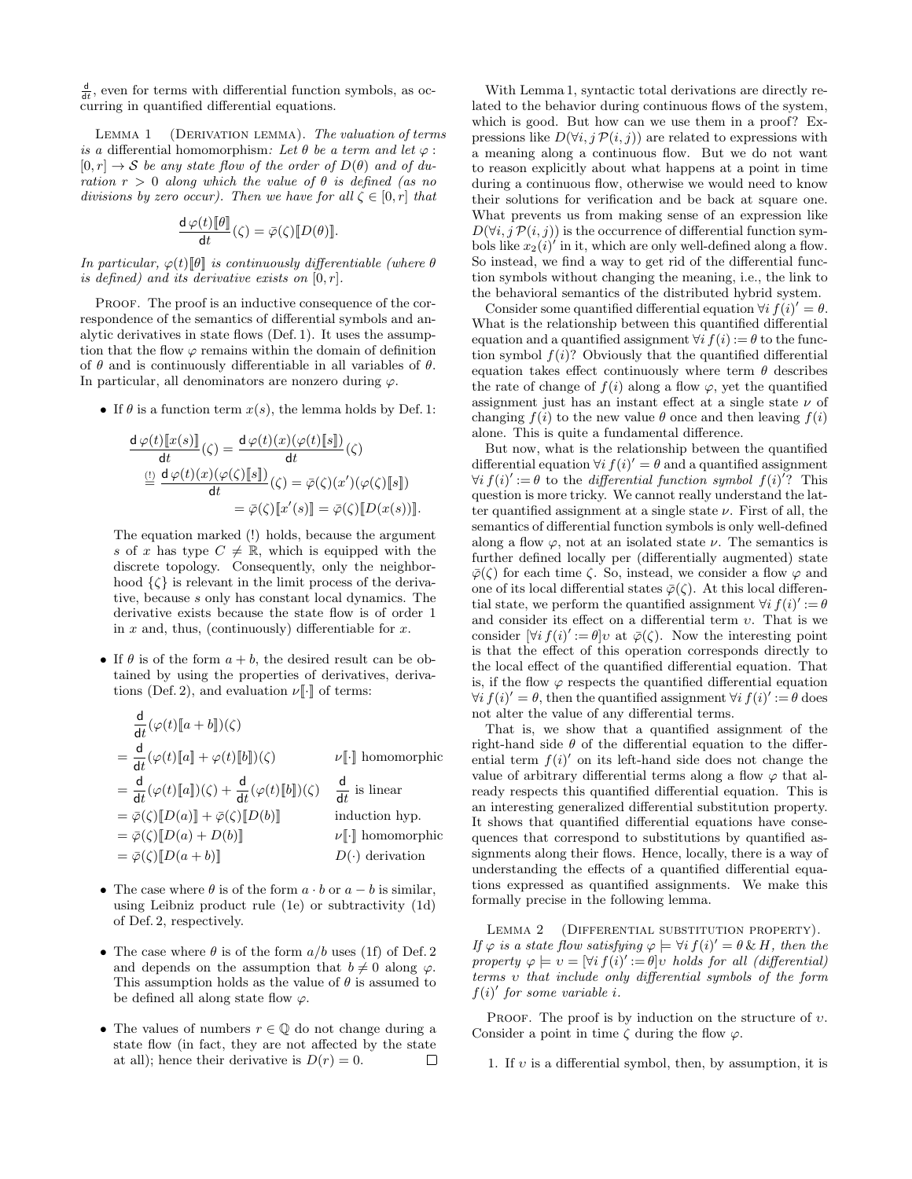$\frac{d}{dt}$ , even for terms with differential function symbols, as occurring in quantified differential equations.

LEMMA 1 (DERIVATION LEMMA). The valuation of terms is a differential homomorphism: Let  $\theta$  be a term and let  $\varphi$ :  $[0, r] \rightarrow S$  be any state flow of the order of  $D(\theta)$  and of duration  $r > 0$  along which the value of  $\theta$  is defined (as no divisions by zero occur). Then we have for all  $\zeta \in [0, r]$  that

$$
\frac{\mathrm{d}\,\varphi(t)[\![\theta]\!]}{\mathrm{d} t}(\zeta)=\bar{\varphi}(\zeta)[\![D(\theta)]\!].
$$

In particular,  $\varphi(t)[\theta]$  is continuously differentiable (where  $\theta$ is defined) and its derivative exists on  $[0, r]$ .

PROOF. The proof is an inductive consequence of the correspondence of the semantics of differential symbols and analytic derivatives in state flows (Def. 1). It uses the assumption that the flow  $\varphi$  remains within the domain of definition of  $\theta$  and is continuously differentiable in all variables of  $\theta$ . In particular, all denominators are nonzero during  $\varphi$ .

• If  $\theta$  is a function term  $x(s)$ , the lemma holds by Def. 1:

$$
\frac{\mathrm{d}\,\varphi(t)[x(s)]}{\mathrm{d}t}(\zeta) = \frac{\mathrm{d}\,\varphi(t)(x)(\varphi(t)[s])}{\mathrm{d}t}(\zeta)
$$
\n
$$
\stackrel{\text{(1)}}{=} \frac{\mathrm{d}\,\varphi(t)(x)(\varphi(\zeta)[s])}{\mathrm{d}t}(\zeta) = \bar{\varphi}(\zeta)(x')(\varphi(\zeta)[s])
$$
\n
$$
= \bar{\varphi}(\zeta)[x'(s)] = \bar{\varphi}(\zeta)[D(x(s))].
$$

The equation marked (!) holds, because the argument s of x has type  $C \neq \mathbb{R}$ , which is equipped with the discrete topology. Consequently, only the neighborhood  $\{\zeta\}$  is relevant in the limit process of the derivative, because s only has constant local dynamics. The derivative exists because the state flow is of order 1 in  $x$  and, thus, (continuously) differentiable for  $x$ .

• If  $\theta$  is of the form  $a + b$ , the desired result can be obtained by using the properties of derivatives, derivations (Def. 2), and evaluation  $\nu$ [ $\cdot$ ] of terms:

$$
\frac{d}{dt}(\varphi(t)[a+b])(\zeta)
$$
\n
$$
= \frac{d}{dt}(\varphi(t)[a] + \varphi(t)[b])(\zeta)
$$
\n
$$
= \frac{d}{dt}(\varphi(t)[a])(\zeta) + \frac{d}{dt}(\varphi(t)[b])(\zeta)
$$
\n
$$
= \frac{d}{dt}(\varphi(t)[a])(\zeta) + \frac{d}{dt}(\varphi(t)[b])(\zeta)
$$
\n
$$
= \bar{\varphi}(\zeta)[D(a)] + \bar{\varphi}(\zeta)[D(b)]
$$
\ninduction hyp.  
\n
$$
= \bar{\varphi}(\zeta)[D(a) + D(b)]
$$
\n
$$
= \bar{\varphi}(\zeta)[D(a+b)]
$$
\n
$$
= \bar{\varphi}(\zeta)[D(a+b)]
$$
\n
$$
D(\cdot)
$$
 derivation

- The case where  $\theta$  is of the form  $a \cdot b$  or  $a b$  is similar, using Leibniz product rule (1e) or subtractivity (1d) of Def. 2, respectively.
- The case where  $\theta$  is of the form  $a/b$  uses (1f) of Def. 2 and depends on the assumption that  $b \neq 0$  along  $\varphi$ . This assumption holds as the value of  $\theta$  is assumed to be defined all along state flow  $\varphi$ .
- The values of numbers  $r \in \mathbb{Q}$  do not change during a state flow (in fact, they are not affected by the state at all); hence their derivative is  $D(r) = 0$ .  $\Box$

With Lemma 1, syntactic total derivations are directly related to the behavior during continuous flows of the system, which is good. But how can we use them in a proof? Expressions like  $D(\forall i, j \mathcal{P}(i, j))$  are related to expressions with a meaning along a continuous flow. But we do not want to reason explicitly about what happens at a point in time during a continuous flow, otherwise we would need to know their solutions for verification and be back at square one. What prevents us from making sense of an expression like  $D(\forall i, j \mathcal{P}(i, j))$  is the occurrence of differential function symbols like  $x_2(i)$  in it, which are only well-defined along a flow. So instead, we find a way to get rid of the differential function symbols without changing the meaning, i.e., the link to the behavioral semantics of the distributed hybrid system.

Consider some quantified differential equation  $\forall i$   $f(i)' = \theta$ . What is the relationship between this quantified differential equation and a quantified assignment  $\forall i$   $f(i) := \theta$  to the function symbol  $f(i)$ ? Obviously that the quantified differential equation takes effect continuously where term  $\theta$  describes the rate of change of  $f(i)$  along a flow  $\varphi$ , yet the quantified assignment just has an instant effect at a single state  $\nu$  of changing  $f(i)$  to the new value  $\theta$  once and then leaving  $f(i)$ alone. This is quite a fundamental difference.

But now, what is the relationship between the quantified differential equation  $\forall i$   $f(i)' = \theta$  and a quantified assignment  $\forall i \ f(i)':=\theta$  to the differential function symbol  $f(i)^{7}$ ? This question is more tricky. We cannot really understand the latter quantified assignment at a single state  $\nu$ . First of all, the semantics of differential function symbols is only well-defined along a flow  $\varphi$ , not at an isolated state  $\nu$ . The semantics is further defined locally per (differentially augmented) state  $\overline{\varphi}(\zeta)$  for each time  $\zeta$ . So, instead, we consider a flow  $\varphi$  and one of its local differential states  $\bar{\varphi}(\zeta)$ . At this local differential state, we perform the quantified assignment  $\forall i f(i)':=\theta$ and consider its effect on a differential term  $v$ . That is we consider  $[\forall i f(i)':=\theta]v$  at  $\overline{\varphi}(\zeta)$ . Now the interesting point is that the effect of this operation corresponds directly to the local effect of the quantified differential equation. That is, if the flow  $\varphi$  respects the quantified differential equation  $\forall i$   $f(i)' = \theta$ , then the quantified assignment  $\forall i$   $f(i)' := \theta$  does not alter the value of any differential terms.

That is, we show that a quantified assignment of the right-hand side  $\theta$  of the differential equation to the differential term  $f(i)$  on its left-hand side does not change the value of arbitrary differential terms along a flow  $\varphi$  that already respects this quantified differential equation. This is an interesting generalized differential substitution property. It shows that quantified differential equations have consequences that correspond to substitutions by quantified assignments along their flows. Hence, locally, there is a way of understanding the effects of a quantified differential equations expressed as quantified assignments. We make this formally precise in the following lemma.

LEMMA 2 (DIFFERENTIAL SUBSTITUTION PROPERTY). If  $\varphi$  is a state flow satisfying  $\varphi \models \forall i \, f(i)' = \theta \, \& \, H$ , then the property  $\varphi \models v = [\forall i \, f(i)':=\theta]v$  holds for all (differential) terms υ that include only differential symbols of the form  $f(i)'$  for some variable i.

PROOF. The proof is by induction on the structure of  $v$ . Consider a point in time  $\zeta$  during the flow  $\varphi$ .

1. If  $v$  is a differential symbol, then, by assumption, it is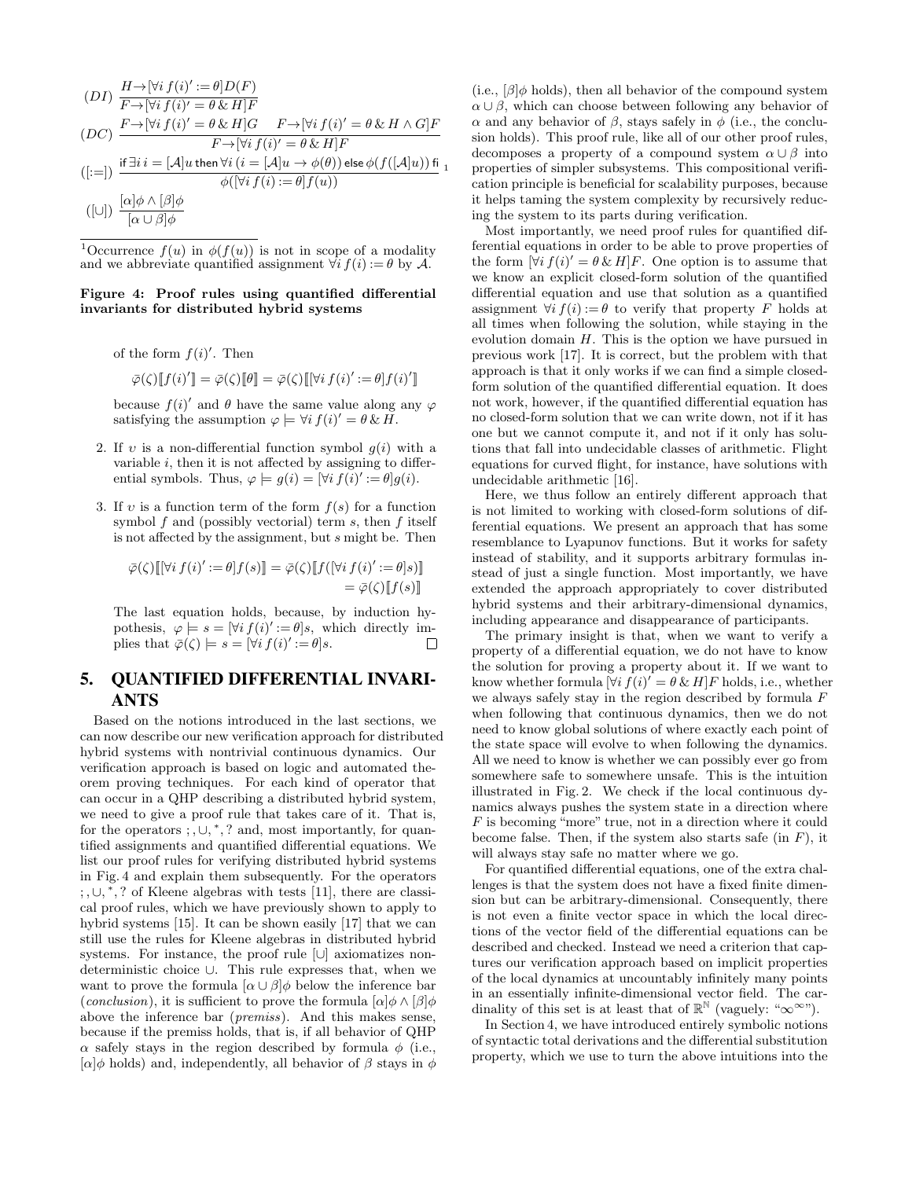$$
(DI) \frac{H \rightarrow [\forall i f(i)':=\theta]D(F)}{F \rightarrow [\forall i f(i)' = \theta \& H]F}
$$
  
\n
$$
(DC) \frac{F \rightarrow [\forall i f(i)' = \theta \& H]G \qquad F \rightarrow [\forall i f(i)' = \theta \& H \land G]F}{F \rightarrow [\forall i f(i)' = \theta \& H]F}
$$
  
\n
$$
([:=]) \frac{\text{if } \exists i \ i = [\mathcal{A}]u \text{ then } \forall i \ (i = [\mathcal{A}]u \rightarrow \phi(\theta)) \text{ else } \phi(f([\mathcal{A}]u)) \text{ fi}}{\phi([\forall i f(i) := \theta]f(u))}
$$
  
\n
$$
([\cup]) \frac{[\alpha] \phi \land [\beta] \phi}{[\alpha \cup \beta] \phi}
$$

<sup>1</sup>Occurrence  $f(u)$  in  $\phi(f(u))$  is not in scope of a modality and we abbreviate quantified assignment  $\forall i$   $f(i) := \theta$  by A.

#### Figure 4: Proof rules using quantified differential invariants for distributed hybrid systems

of the form  $f(i)'$ . Then

 $\overline{\varphi}(\zeta) [f(i)'] = \overline{\varphi}(\zeta) [\theta] = \overline{\varphi}(\zeta) [[\forall i \, f(i)'] = \theta] f(i)']$ 

because  $f(i)'$  and  $\theta$  have the same value along any  $\varphi$ satisfying the assumption  $\varphi \models \forall i f(i)' = \theta \& H$ .

- 2. If v is a non-differential function symbol  $q(i)$  with a variable  $i$ , then it is not affected by assigning to differential symbols. Thus,  $\varphi \models g(i) = [\forall i \, f(i)':=\theta] g(i)$ .
- 3. If v is a function term of the form  $f(s)$  for a function symbol  $f$  and (possibly vectorial) term  $s$ , then  $f$  itself is not affected by the assignment, but s might be. Then

$$
\bar{\varphi}(\zeta)\left[\left[\forall i\ f(i)':=\theta\right]f(s)\right]=\bar{\varphi}(\zeta)\left[f\left(\left[\forall i\ f(i)':=\theta\right]s\right)\right]
$$

$$
=\bar{\varphi}(\zeta)\left[f(s)\right]
$$

The last equation holds, because, by induction hypothesis,  $\varphi \models s = [\forall i \, f(i)':=\theta]s$ , which directly implies that  $\overline{\varphi}(\zeta) \models s = [\forall i \, f(i)':=\theta]s.$  $\Box$ 

# 5. QUANTIFIED DIFFERENTIAL INVARI-ANTS

Based on the notions introduced in the last sections, we can now describe our new verification approach for distributed hybrid systems with nontrivial continuous dynamics. Our verification approach is based on logic and automated theorem proving techniques. For each kind of operator that can occur in a QHP describing a distributed hybrid system, we need to give a proof rule that takes care of it. That is, for the operators  $\overline{\cdot}$ ,  $\cup$ ,  $\overline{\cdot}$ , ? and, most importantly, for quantified assignments and quantified differential equations. We list our proof rules for verifying distributed hybrid systems in Fig. 4 and explain them subsequently. For the operators ; , ∪, ∗ , ? of Kleene algebras with tests [11], there are classical proof rules, which we have previously shown to apply to hybrid systems [15]. It can be shown easily [17] that we can still use the rules for Kleene algebras in distributed hybrid systems. For instance, the proof rule [∪] axiomatizes nondeterministic choice ∪. This rule expresses that, when we want to prove the formula  $\lbrack \alpha \cup \beta \rbrack \phi$  below the inference bar (conclusion), it is sufficient to prove the formula  $[\alpha]\phi \wedge [\beta]\phi$ above the inference bar (premiss). And this makes sense, because if the premiss holds, that is, if all behavior of QHP  $\alpha$  safely stays in the region described by formula  $\phi$  (i.e.,  $[\alpha]\phi$  holds) and, independently, all behavior of  $\beta$  stays in  $\phi$ 

(i.e.,  $\beta$ ) $\phi$  holds), then all behavior of the compound system  $\alpha \cup \beta$ , which can choose between following any behavior of α and any behavior of β, stays safely in φ (i.e., the conclusion holds). This proof rule, like all of our other proof rules, decomposes a property of a compound system  $\alpha \cup \beta$  into properties of simpler subsystems. This compositional verification principle is beneficial for scalability purposes, because it helps taming the system complexity by recursively reducing the system to its parts during verification.

Most importantly, we need proof rules for quantified differential equations in order to be able to prove properties of the form  $[\forall i f(i)'] = \theta \& H]F$ . One option is to assume that we know an explicit closed-form solution of the quantified differential equation and use that solution as a quantified assignment  $\forall i f(i) := \theta$  to verify that property F holds at all times when following the solution, while staying in the evolution domain H. This is the option we have pursued in previous work [17]. It is correct, but the problem with that approach is that it only works if we can find a simple closedform solution of the quantified differential equation. It does not work, however, if the quantified differential equation has no closed-form solution that we can write down, not if it has one but we cannot compute it, and not if it only has solutions that fall into undecidable classes of arithmetic. Flight equations for curved flight, for instance, have solutions with undecidable arithmetic [16].

Here, we thus follow an entirely different approach that is not limited to working with closed-form solutions of differential equations. We present an approach that has some resemblance to Lyapunov functions. But it works for safety instead of stability, and it supports arbitrary formulas instead of just a single function. Most importantly, we have extended the approach appropriately to cover distributed hybrid systems and their arbitrary-dimensional dynamics, including appearance and disappearance of participants.

The primary insight is that, when we want to verify a property of a differential equation, we do not have to know the solution for proving a property about it. If we want to know whether formula  $[\forall i \, f(i)' = \theta \, \& \, H]F$  holds, i.e., whether we always safely stay in the region described by formula F when following that continuous dynamics, then we do not need to know global solutions of where exactly each point of the state space will evolve to when following the dynamics. All we need to know is whether we can possibly ever go from somewhere safe to somewhere unsafe. This is the intuition illustrated in Fig. 2. We check if the local continuous dynamics always pushes the system state in a direction where F is becoming "more" true, not in a direction where it could become false. Then, if the system also starts safe (in  $F$ ), it will always stay safe no matter where we go.

For quantified differential equations, one of the extra challenges is that the system does not have a fixed finite dimension but can be arbitrary-dimensional. Consequently, there is not even a finite vector space in which the local directions of the vector field of the differential equations can be described and checked. Instead we need a criterion that captures our verification approach based on implicit properties of the local dynamics at uncountably infinitely many points in an essentially infinite-dimensional vector field. The cardinality of this set is at least that of  $\mathbb{R}^{\mathbb{N}}$  (vaguely: " $\infty^{\infty}$ ").

In Section 4, we have introduced entirely symbolic notions of syntactic total derivations and the differential substitution property, which we use to turn the above intuitions into the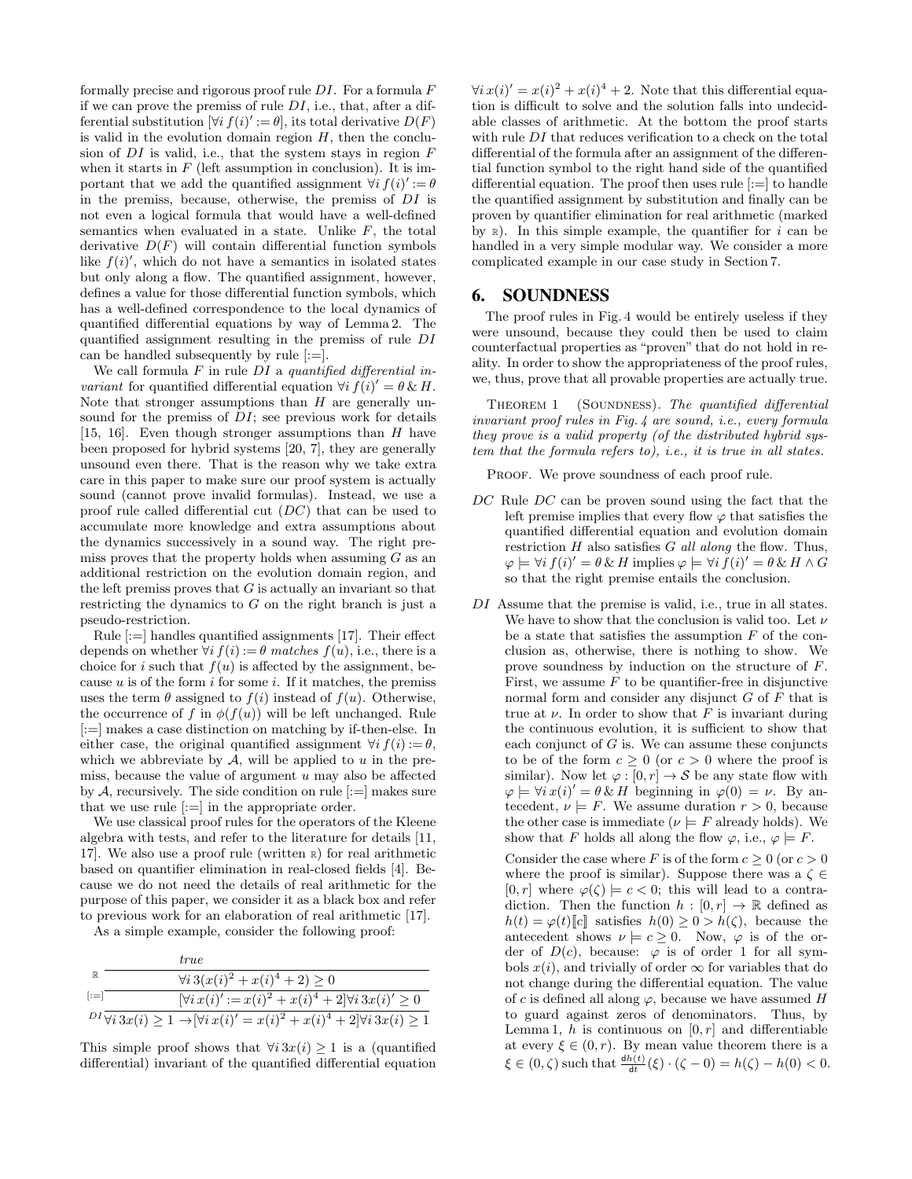formally precise and rigorous proof rule  $DI$ . For a formula  $F$ if we can prove the premiss of rule  $DI$ , i.e., that, after a differential substitution  $[\forall i \, f(i)':=\theta]$ , its total derivative  $D(F)$ is valid in the evolution domain region  $H$ , then the conclusion of  $DI$  is valid, i.e., that the system stays in region  $F$ when it starts in  $F$  (left assumption in conclusion). It is important that we add the quantified assignment  $\forall i f(i)':=\theta$ in the premiss, because, otherwise, the premiss of DI is not even a logical formula that would have a well-defined semantics when evaluated in a state. Unlike  $F$ , the total derivative  $D(F)$  will contain differential function symbols like  $f(i)'$ , which do not have a semantics in isolated states but only along a flow. The quantified assignment, however, defines a value for those differential function symbols, which has a well-defined correspondence to the local dynamics of quantified differential equations by way of Lemma 2. The quantified assignment resulting in the premiss of rule DI can be handled subsequently by rule  $[:=]$ .

We call formula  $F$  in rule  $DI$  a quantified differential in*variant* for quantified differential equation  $\forall i f(i)' = \theta \& H$ . Note that stronger assumptions than  $H$  are generally unsound for the premiss of  $DI$ ; see previous work for details [15, 16]. Even though stronger assumptions than  $H$  have been proposed for hybrid systems [20, 7], they are generally unsound even there. That is the reason why we take extra care in this paper to make sure our proof system is actually sound (cannot prove invalid formulas). Instead, we use a proof rule called differential cut (DC) that can be used to accumulate more knowledge and extra assumptions about the dynamics successively in a sound way. The right premiss proves that the property holds when assuming  $G$  as an additional restriction on the evolution domain region, and the left premiss proves that  $G$  is actually an invariant so that restricting the dynamics to  $G$  on the right branch is just a pseudo-restriction.

Rule [:=] handles quantified assignments [17]. Their effect depends on whether  $\forall i$   $f(i) := \theta$  matches  $f(u)$ , i.e., there is a choice for i such that  $f(u)$  is affected by the assignment, because u is of the form i for some i. If it matches, the premiss uses the term  $\theta$  assigned to  $f(i)$  instead of  $f(u)$ . Otherwise, the occurrence of f in  $\phi(f(u))$  will be left unchanged. Rule [:=] makes a case distinction on matching by if-then-else. In either case, the original quantified assignment  $\forall i f(i) := \theta$ , which we abbreviate by  $A$ , will be applied to  $u$  in the premiss, because the value of argument  $u$  may also be affected by  $A$ , recursively. The side condition on rule  $[:=]$  makes sure that we use rule  $|:=|$  in the appropriate order.

We use classical proof rules for the operators of the Kleene algebra with tests, and refer to the literature for details [11, 17]. We also use a proof rule (written <sup>R</sup>) for real arithmetic based on quantifier elimination in real-closed fields [4]. Because we do not need the details of real arithmetic for the purpose of this paper, we consider it as a black box and refer to previous work for an elaboration of real arithmetic [17].

As a simple example, consider the following proof:

|              | true                                                                                                         |
|--------------|--------------------------------------------------------------------------------------------------------------|
| $\mathbb{R}$ | $\forall i \, 3(x(i)^2 + x(i)^4 + 2) \geq 0$                                                                 |
| $:=$         | $[\forall i \, x(i)':=x(i)^2+x(i)^4+2]\forall i \, 3x(i)' \geq 0$                                            |
|              | ${}^{DI}\forall i\,3x(i) \geq 1 \rightarrow [\forall i\,x(i)' = x(i)^2 + x(i)^4 + 2]\forall i\,3x(i) \geq 1$ |

This simple proof shows that  $\forall i \, 3x(i) \geq 1$  is a (quantified differential) invariant of the quantified differential equation

 $\forall i x(i)' = x(i)^2 + x(i)^4 + 2$ . Note that this differential equation is difficult to solve and the solution falls into undecidable classes of arithmetic. At the bottom the proof starts with rule DI that reduces verification to a check on the total differential of the formula after an assignment of the differential function symbol to the right hand side of the quantified differential equation. The proof then uses rule [:=] to handle the quantified assignment by substitution and finally can be proven by quantifier elimination for real arithmetic (marked by  $\mathbb R$ ). In this simple example, the quantifier for i can be handled in a very simple modular way. We consider a more complicated example in our case study in Section 7.

# 6. SOUNDNESS

The proof rules in Fig. 4 would be entirely useless if they were unsound, because they could then be used to claim counterfactual properties as "proven" that do not hold in reality. In order to show the appropriateness of the proof rules, we, thus, prove that all provable properties are actually true.

THEOREM 1 (SOUNDNESS). The quantified differential invariant proof rules in Fig. 4 are sound, i.e., every formula they prove is a valid property (of the distributed hybrid system that the formula refers to), i.e., it is true in all states.

PROOF. We prove soundness of each proof rule.

- DC Rule DC can be proven sound using the fact that the left premise implies that every flow  $\varphi$  that satisfies the quantified differential equation and evolution domain restriction  $H$  also satisfies  $G$  all along the flow. Thus,  $\varphi \models \forall i \, f(i)' = \theta \, \& \, H \text{ implies } \varphi \models \forall i \, f(i)' = \theta \, \& \, H \wedge G$ so that the right premise entails the conclusion.
- DI Assume that the premise is valid, i.e., true in all states. We have to show that the conclusion is valid too. Let  $\nu$ be a state that satisfies the assumption  $F$  of the conclusion as, otherwise, there is nothing to show. We prove soundness by induction on the structure of F. First, we assume  $F$  to be quantifier-free in disjunctive normal form and consider any disjunct  $G$  of  $F$  that is true at  $\nu$ . In order to show that F is invariant during the continuous evolution, it is sufficient to show that each conjunct of  $G$  is. We can assume these conjuncts to be of the form  $c \geq 0$  (or  $c > 0$  where the proof is similar). Now let  $\varphi : [0, r] \to S$  be any state flow with  $\varphi \models \forall i \, x(i)' = \theta \, \& \, H$  beginning in  $\varphi(0) = \nu$ . By antecedent,  $\nu \models F$ . We assume duration  $r > 0$ , because the other case is immediate ( $\nu \models F$  already holds). We show that F holds all along the flow  $\varphi$ , i.e.,  $\varphi \models F$ .

Consider the case where F is of the form  $c \geq 0$  (or  $c > 0$ ) where the proof is similar). Suppose there was a  $\zeta \in$  $[0, r]$  where  $\varphi(\zeta) \models c < 0$ ; this will lead to a contradiction. Then the function  $h : [0, r] \to \mathbb{R}$  defined as  $h(t) = \varphi(t)[c]$  satisfies  $h(0) \geq 0 > h(\zeta)$ , because the antecedent shows  $\nu \models c \geq 0$ . Now,  $\varphi$  is of the order of  $D(c)$ , because:  $\varphi$  is of order 1 for all symbols  $x(i)$ , and trivially of order  $\infty$  for variables that do not change during the differential equation. The value of c is defined all along  $\varphi$ , because we have assumed H to guard against zeros of denominators. Thus, by Lemma 1, h is continuous on  $[0, r]$  and differentiable at every  $\xi \in (0, r)$ . By mean value theorem there is a  $\xi \in (0, \zeta)$  such that  $\frac{dh(t)}{dt}(\xi) \cdot (\zeta - 0) = h(\zeta) - h(0) < 0.$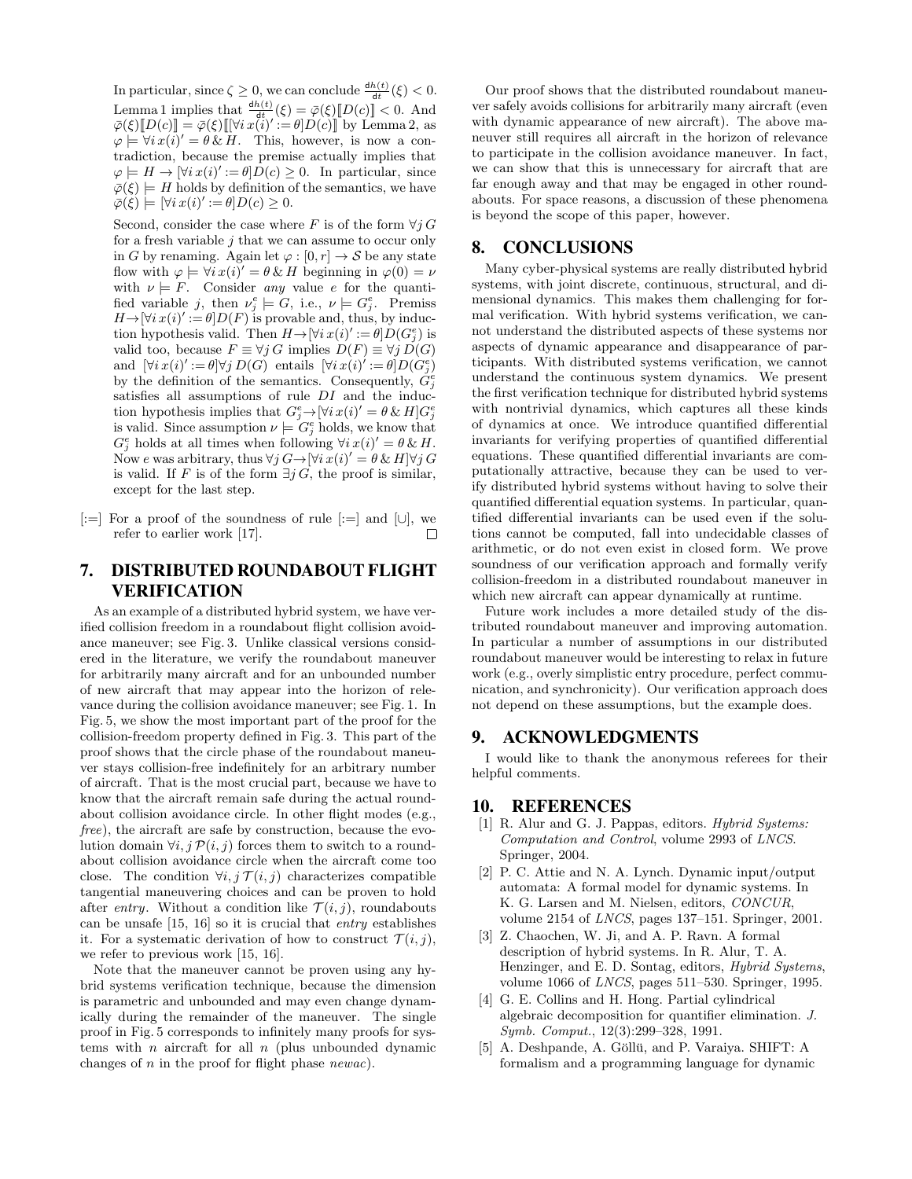In particular, since  $\zeta \geq 0$ , we can conclude  $\frac{dh(t)}{dt}(\xi) < 0$ . Lemma 1 implies that  $\frac{dh(t)}{dt}(\xi) = \bar{\varphi}(\xi) [D(c)] < 0$ . And  $\overline{\varphi}(\xi)\overline{D}(c)\overline{=} \overline{\varphi}(\xi)\overline{[}[\forall i\,x\overline{\langle i \rangle'}:=\theta]D(c)\overline{]}$  by Lemma 2, as  $\varphi \models \forall i \, x(i)' = \theta \, \& \, H.$  This, however, is now a contradiction, because the premise actually implies that  $\varphi \models H \rightarrow [\forall i \, x(i)':=\theta] \overline{D}(c) \geq 0.$  In particular, since  $\overline{\varphi}(\xi) \models H$  holds by definition of the semantics, we have  $\overline{\varphi}(\xi) \models [\forall i \, x(i)':=\theta] D(c) \geq 0.$ 

Second, consider the case where F is of the form  $\forall j$  G for a fresh variable  $i$  that we can assume to occur only in G by renaming. Again let  $\varphi : [0, r] \to S$  be any state flow with  $\varphi \models \forall i \, x(i) = \theta \, \& \, H$  beginning in  $\varphi(0) = \nu$ with  $\nu \models F$ . Consider any value e for the quantified variable j, then  $\nu_j^e \models G$ , i.e.,  $\nu \models G_j^e$ . Premiss  $H \rightarrow |\forall i \, x(i)':=\theta|D(F)$  is provable and, thus, by induction hypothesis valid. Then  $H \to [\forall i \, x(i)':=\theta] D(G_j^e)$  is valid too, because  $F \equiv \forall j G$  implies  $D(F) \equiv \forall j D(G)$ and  $[\forall i \, x(i)':=\theta] \forall j \, D(G)$  entails  $[\forall i \, x(i)':=\theta] D(G_j^e)$ by the definition of the semantics. Consequently,  $\ddot{G}_j^e$ satisfies all assumptions of rule DI and the induction hypothesis implies that  $G_j^e \rightarrow [\forall i \, x(i)^\prime = \theta \, \& \, H] G_j^e$ is valid. Since assumption  $\nu \models G_j^e$  holds, we know that  $G_j^e$  holds at all times when following  $\forall i x(i)' = \theta \& H$ . Now e was arbitrary, thus  $\forall j \, G \rightarrow [\forall i \, x(i)^\prime = \theta \, \& \, H] \forall j \, G$ is valid. If F is of the form  $\exists j G$ , the proof is similar, except for the last step.

[:=] For a proof of the soundness of rule [:=] and [∪], we refer to earlier work [17].  $\Box$ 

# 7. DISTRIBUTED ROUNDABOUT FLIGHT VERIFICATION

As an example of a distributed hybrid system, we have verified collision freedom in a roundabout flight collision avoidance maneuver; see Fig. 3. Unlike classical versions considered in the literature, we verify the roundabout maneuver for arbitrarily many aircraft and for an unbounded number of new aircraft that may appear into the horizon of relevance during the collision avoidance maneuver; see Fig. 1. In Fig. 5, we show the most important part of the proof for the collision-freedom property defined in Fig. 3. This part of the proof shows that the circle phase of the roundabout maneuver stays collision-free indefinitely for an arbitrary number of aircraft. That is the most crucial part, because we have to know that the aircraft remain safe during the actual roundabout collision avoidance circle. In other flight modes (e.g., free), the aircraft are safe by construction, because the evolution domain  $\forall i, j \mathcal{P}(i, j)$  forces them to switch to a roundabout collision avoidance circle when the aircraft come too close. The condition  $\forall i, j \mathcal{T}(i, j)$  characterizes compatible tangential maneuvering choices and can be proven to hold after entry. Without a condition like  $\mathcal{T}(i, j)$ , roundabouts can be unsafe [15, 16] so it is crucial that entry establishes it. For a systematic derivation of how to construct  $\mathcal{T}(i, j)$ , we refer to previous work [15, 16].

Note that the maneuver cannot be proven using any hybrid systems verification technique, because the dimension is parametric and unbounded and may even change dynamically during the remainder of the maneuver. The single proof in Fig. 5 corresponds to infinitely many proofs for systems with *n* aircraft for all *n* (plus unbounded dynamic changes of  $n$  in the proof for flight phase *newac*).

Our proof shows that the distributed roundabout maneuver safely avoids collisions for arbitrarily many aircraft (even with dynamic appearance of new aircraft). The above maneuver still requires all aircraft in the horizon of relevance to participate in the collision avoidance maneuver. In fact, we can show that this is unnecessary for aircraft that are far enough away and that may be engaged in other roundabouts. For space reasons, a discussion of these phenomena is beyond the scope of this paper, however.

# 8. CONCLUSIONS

Many cyber-physical systems are really distributed hybrid systems, with joint discrete, continuous, structural, and dimensional dynamics. This makes them challenging for formal verification. With hybrid systems verification, we cannot understand the distributed aspects of these systems nor aspects of dynamic appearance and disappearance of participants. With distributed systems verification, we cannot understand the continuous system dynamics. We present the first verification technique for distributed hybrid systems with nontrivial dynamics, which captures all these kinds of dynamics at once. We introduce quantified differential invariants for verifying properties of quantified differential equations. These quantified differential invariants are computationally attractive, because they can be used to verify distributed hybrid systems without having to solve their quantified differential equation systems. In particular, quantified differential invariants can be used even if the solutions cannot be computed, fall into undecidable classes of arithmetic, or do not even exist in closed form. We prove soundness of our verification approach and formally verify collision-freedom in a distributed roundabout maneuver in which new aircraft can appear dynamically at runtime.

Future work includes a more detailed study of the distributed roundabout maneuver and improving automation. In particular a number of assumptions in our distributed roundabout maneuver would be interesting to relax in future work (e.g., overly simplistic entry procedure, perfect communication, and synchronicity). Our verification approach does not depend on these assumptions, but the example does.

### 9. ACKNOWLEDGMENTS

I would like to thank the anonymous referees for their helpful comments.

# 10. REFERENCES

- [1] R. Alur and G. J. Pappas, editors. Hybrid Systems: Computation and Control, volume 2993 of LNCS. Springer, 2004.
- [2] P. C. Attie and N. A. Lynch. Dynamic input/output automata: A formal model for dynamic systems. In K. G. Larsen and M. Nielsen, editors, CONCUR, volume 2154 of LNCS, pages 137–151. Springer, 2001.
- [3] Z. Chaochen, W. Ji, and A. P. Ravn. A formal description of hybrid systems. In R. Alur, T. A. Henzinger, and E. D. Sontag, editors, Hybrid Systems, volume 1066 of LNCS, pages 511–530. Springer, 1995.
- [4] G. E. Collins and H. Hong. Partial cylindrical algebraic decomposition for quantifier elimination. J. Symb. Comput., 12(3):299–328, 1991.
- [5] A. Deshpande, A. Göllü, and P. Varaiya. SHIFT: A formalism and a programming language for dynamic